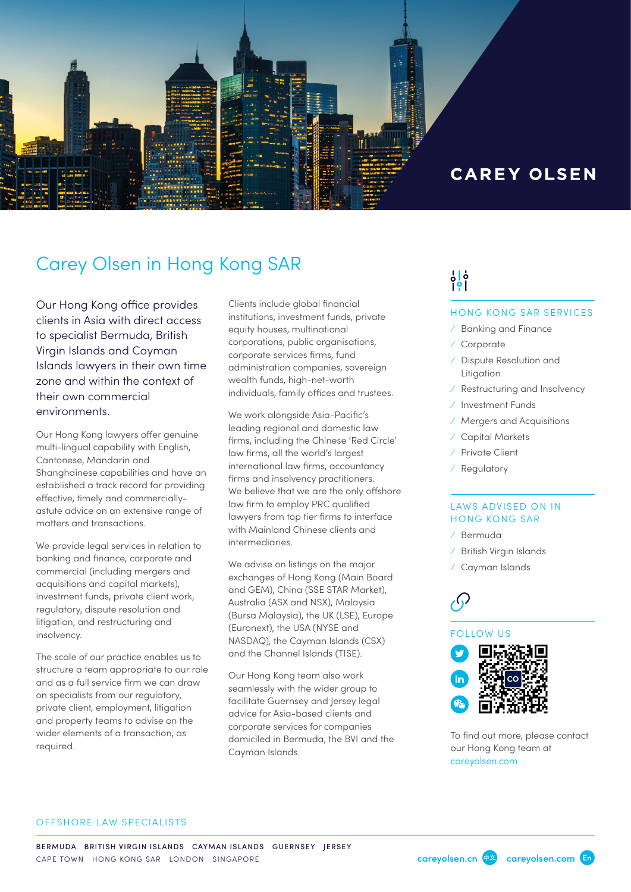

### **CAREY OLSEN**

### Carey Olsen in Hong Kong SAR

Our Hong Kong office provides clients in Asia with direct access to specialist Bermuda, British Virgin Islands and Cayman Islands lawyers in their own time zone and within the context of their own commercial environments.

Our Hong Kong lawyers offer genuine multi-lingual capability with English, Cantonese, Mandarin and Shanghainese capabilities and have an established a track record for providing effective, timely and commerciallyastute advice on an extensive range of matters and transactions.

We provide legal services in relation to banking and finance, corporate and commercial (including mergers and acquisitions and capital markets), investment funds, private client work, regulatory, dispute resolution and litigation, and restructuring and insolvency.

The scale of our practice enables us to structure a team appropriate to our role and as a full service firm we can draw on specialists from our regulatory, private client, employment, litigation and property teams to advise on the wider elements of a transaction, as required.

Clients include global financial institutions, investment funds, private equity houses, multinational corporations, public organisations, corporate services firms, fund administration companies, sovereign wealth funds, high-net-worth individuals, family offices and trustees.

We work alongside Asia-Pacific's leading regional and domestic law firms, including the Chinese 'Red Circle' law firms, all the world's largest international law firms, accountancy firms and insolvency practitioners. We believe that we are the only offshore law firm to employ PRC qualified lawyers from top tier firms to interface with Mainland Chinese clients and intermediaries.

We advise on listings on the major exchanges of Hong Kong (Main Board and GEM), China (SSE STAR Market), Australia (ASX and NSX), Malaysia (Bursa Malaysia), the UK (LSE), Europe (Euronext), the USA (NYSE and NASDAQ), the Cayman Islands (CSX) and the Channel Islands (TISE).

Our Hong Kong team also work seamlessly with the wider group to facilitate Guernsey and Jersey legal advice for Asia-based clients and corporate services for companies domiciled in Bermuda, the BVI and the Cayman Islands.

# ပြစ်

#### HONG KONG SAR SERVICES

- ⁄ Banking and Finance
- ⁄ Corporate
- ⁄ Dispute Resolution and Litigation
- ⁄ Restructuring and Insolvency
- ⁄ Investment Funds
- ⁄ Mergers and Acquisitions
- ⁄ Capital Markets
- ⁄ Private Client
- ⁄ Regulatory

#### LAWS ADVISED ON IN HONG KONG SAR

- ⁄ Bermuda
- ⁄ British Virgin Islands
- ⁄ Cayman Islands

#### FOLLOW US



To find out more, please contact our Hong Kong team at [careyolsen.com](https://www.careyolsen.com/search-results?combine=&field_service_sector_tid=All&field_sector_tid=All&field_location_tid=54)

#### OFFSHORE LAW SPECIALISTS